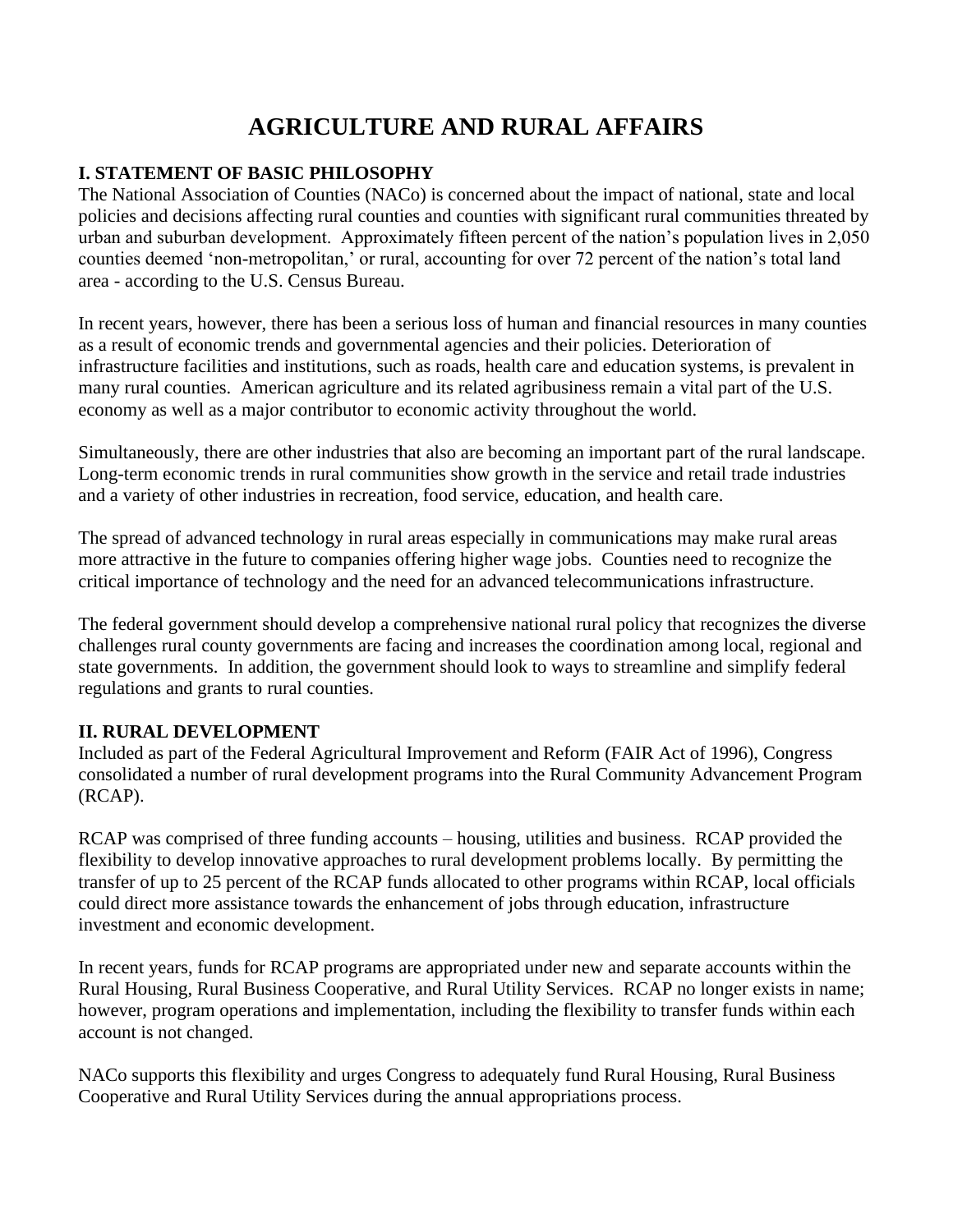# **AGRICULTURE AND RURAL AFFAIRS**

# **I. STATEMENT OF BASIC PHILOSOPHY**

The National Association of Counties (NACo) is concerned about the impact of national, state and local policies and decisions affecting rural counties and counties with significant rural communities threated by urban and suburban development. Approximately fifteen percent of the nation's population lives in 2,050 counties deemed 'non-metropolitan,' or rural, accounting for over 72 percent of the nation's total land area - according to the U.S. Census Bureau.

In recent years, however, there has been a serious loss of human and financial resources in many counties as a result of economic trends and governmental agencies and their policies. Deterioration of infrastructure facilities and institutions, such as roads, health care and education systems, is prevalent in many rural counties. American agriculture and its related agribusiness remain a vital part of the U.S. economy as well as a major contributor to economic activity throughout the world.

Simultaneously, there are other industries that also are becoming an important part of the rural landscape. Long-term economic trends in rural communities show growth in the service and retail trade industries and a variety of other industries in recreation, food service, education, and health care.

The spread of advanced technology in rural areas especially in communications may make rural areas more attractive in the future to companies offering higher wage jobs. Counties need to recognize the critical importance of technology and the need for an advanced telecommunications infrastructure.

The federal government should develop a comprehensive national rural policy that recognizes the diverse challenges rural county governments are facing and increases the coordination among local, regional and state governments. In addition, the government should look to ways to streamline and simplify federal regulations and grants to rural counties.

#### **II. RURAL DEVELOPMENT**

Included as part of the Federal Agricultural Improvement and Reform (FAIR Act of 1996), Congress consolidated a number of rural development programs into the Rural Community Advancement Program (RCAP).

RCAP was comprised of three funding accounts – housing, utilities and business. RCAP provided the flexibility to develop innovative approaches to rural development problems locally. By permitting the transfer of up to 25 percent of the RCAP funds allocated to other programs within RCAP, local officials could direct more assistance towards the enhancement of jobs through education, infrastructure investment and economic development.

In recent years, funds for RCAP programs are appropriated under new and separate accounts within the Rural Housing, Rural Business Cooperative, and Rural Utility Services. RCAP no longer exists in name; however, program operations and implementation, including the flexibility to transfer funds within each account is not changed.

NACo supports this flexibility and urges Congress to adequately fund Rural Housing, Rural Business Cooperative and Rural Utility Services during the annual appropriations process.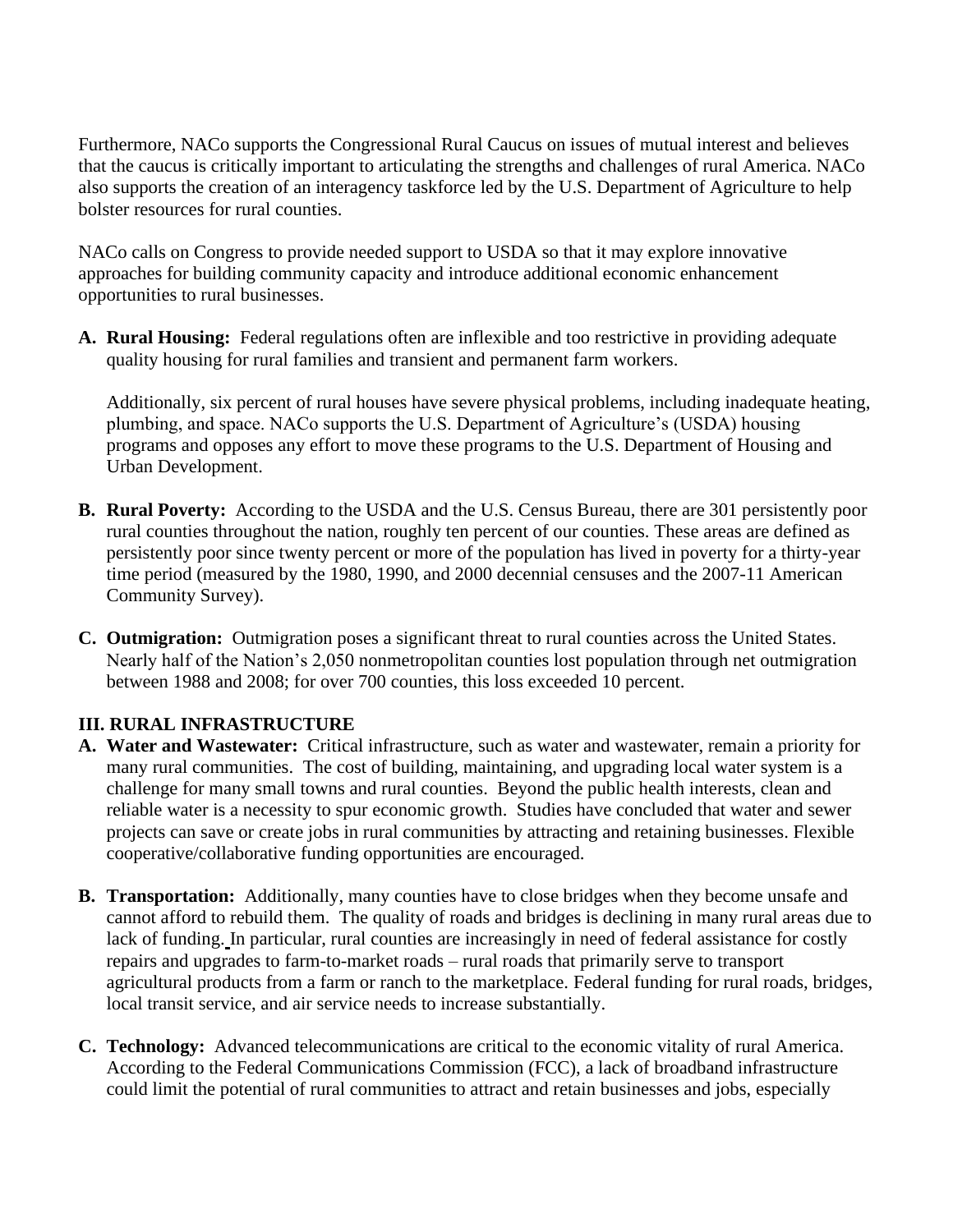Furthermore, NACo supports the Congressional Rural Caucus on issues of mutual interest and believes that the caucus is critically important to articulating the strengths and challenges of rural America. NACo also supports the creation of an interagency taskforce led by the U.S. Department of Agriculture to help bolster resources for rural counties.

NACo calls on Congress to provide needed support to USDA so that it may explore innovative approaches for building community capacity and introduce additional economic enhancement opportunities to rural businesses.

**A. Rural Housing:** Federal regulations often are inflexible and too restrictive in providing adequate quality housing for rural families and transient and permanent farm workers.

Additionally, six percent of rural houses have severe physical problems, including inadequate heating, plumbing, and space. NACo supports the U.S. Department of Agriculture's (USDA) housing programs and opposes any effort to move these programs to the U.S. Department of Housing and Urban Development.

- **B. Rural Poverty:** According to the USDA and the U.S. Census Bureau, there are 301 persistently poor rural counties throughout the nation, roughly ten percent of our counties. These areas are defined as persistently poor since twenty percent or more of the population has lived in poverty for a thirty-year time period (measured by the 1980, 1990, and 2000 decennial censuses and the 2007-11 American Community Survey).
- **C. Outmigration:** Outmigration poses a significant threat to rural counties across the United States. Nearly half of the Nation's 2,050 nonmetropolitan counties lost population through net outmigration between 1988 and 2008; for over 700 counties, this loss exceeded 10 percent.

# **III. RURAL INFRASTRUCTURE**

- **A. Water and Wastewater:** Critical infrastructure, such as water and wastewater, remain a priority for many rural communities. The cost of building, maintaining, and upgrading local water system is a challenge for many small towns and rural counties. Beyond the public health interests, clean and reliable water is a necessity to spur economic growth. Studies have concluded that water and sewer projects can save or create jobs in rural communities by attracting and retaining businesses. Flexible cooperative/collaborative funding opportunities are encouraged.
- **B. Transportation:** Additionally, many counties have to close bridges when they become unsafe and cannot afford to rebuild them. The quality of roads and bridges is declining in many rural areas due to lack of funding. In particular, rural counties are increasingly in need of federal assistance for costly repairs and upgrades to farm-to-market roads – rural roads that primarily serve to transport agricultural products from a farm or ranch to the marketplace. Federal funding for rural roads, bridges, local transit service, and air service needs to increase substantially.
- **C. Technology:** Advanced telecommunications are critical to the economic vitality of rural America. According to the Federal Communications Commission (FCC), a lack of broadband infrastructure could limit the potential of rural communities to attract and retain businesses and jobs, especially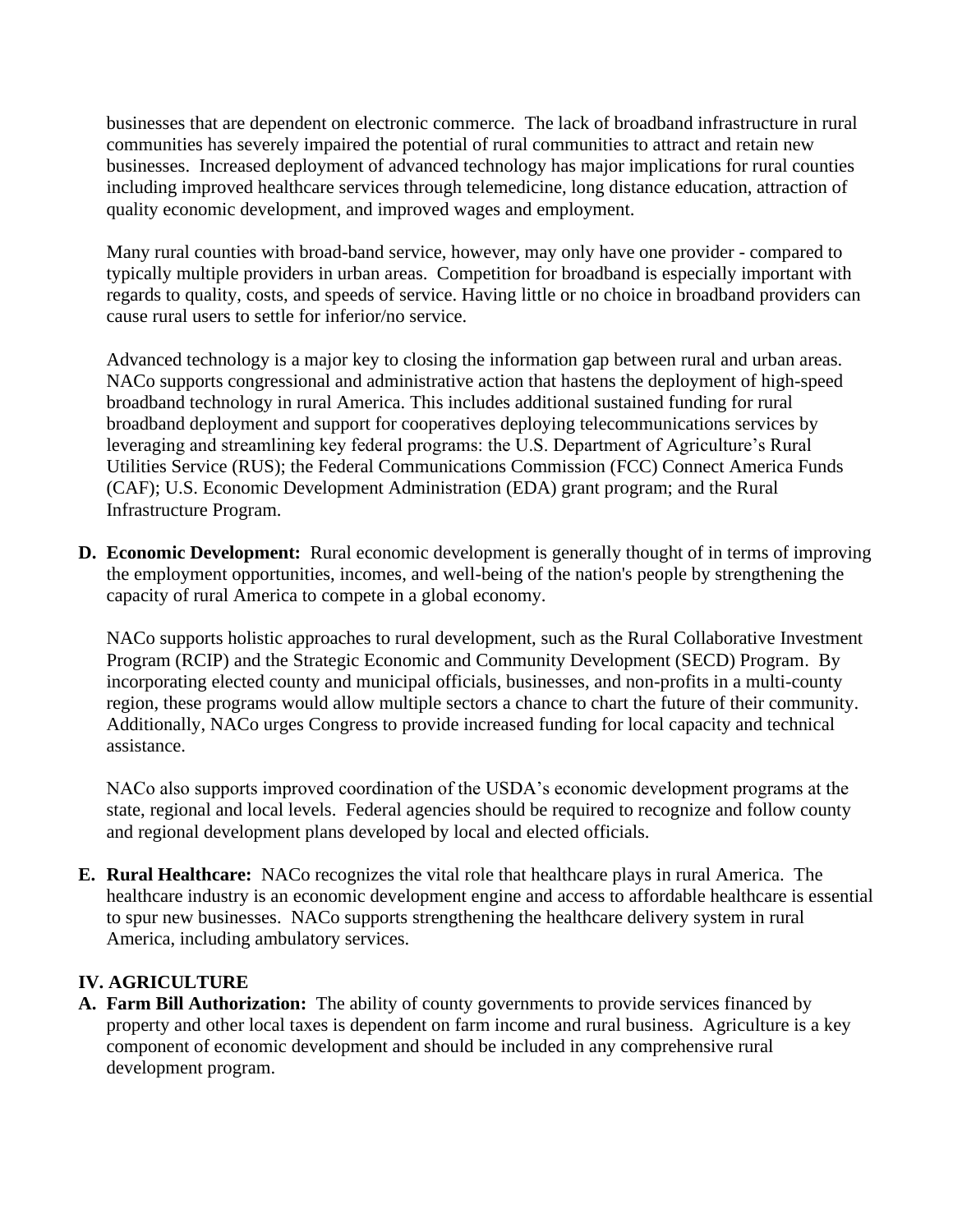businesses that are dependent on electronic commerce. The lack of broadband infrastructure in rural communities has severely impaired the potential of rural communities to attract and retain new businesses. Increased deployment of advanced technology has major implications for rural counties including improved healthcare services through telemedicine, long distance education, attraction of quality economic development, and improved wages and employment.

Many rural counties with broad-band service, however, may only have one provider - compared to typically multiple providers in urban areas. Competition for broadband is especially important with regards to quality, costs, and speeds of service. Having little or no choice in broadband providers can cause rural users to settle for inferior/no service.

Advanced technology is a major key to closing the information gap between rural and urban areas. NACo supports congressional and administrative action that hastens the deployment of high-speed broadband technology in rural America. This includes additional sustained funding for rural broadband deployment and support for cooperatives deploying telecommunications services by leveraging and streamlining key federal programs: the U.S. Department of Agriculture's Rural Utilities Service (RUS); the Federal Communications Commission (FCC) Connect America Funds (CAF); U.S. Economic Development Administration (EDA) grant program; and the Rural Infrastructure Program.

**D. Economic Development:** Rural economic development is generally thought of in terms of improving the employment opportunities, incomes, and well-being of the nation's people by strengthening the capacity of rural America to compete in a global economy.

NACo supports holistic approaches to rural development, such as the Rural Collaborative Investment Program (RCIP) and the Strategic Economic and Community Development (SECD) Program. By incorporating elected county and municipal officials, businesses, and non-profits in a multi-county region, these programs would allow multiple sectors a chance to chart the future of their community. Additionally, NACo urges Congress to provide increased funding for local capacity and technical assistance.

NACo also supports improved coordination of the USDA's economic development programs at the state, regional and local levels. Federal agencies should be required to recognize and follow county and regional development plans developed by local and elected officials.

**E. Rural Healthcare:** NACo recognizes the vital role that healthcare plays in rural America. The healthcare industry is an economic development engine and access to affordable healthcare is essential to spur new businesses. NACo supports strengthening the healthcare delivery system in rural America, including ambulatory services.

#### **IV. AGRICULTURE**

**A. Farm Bill Authorization:** The ability of county governments to provide services financed by property and other local taxes is dependent on farm income and rural business. Agriculture is a key component of economic development and should be included in any comprehensive rural development program.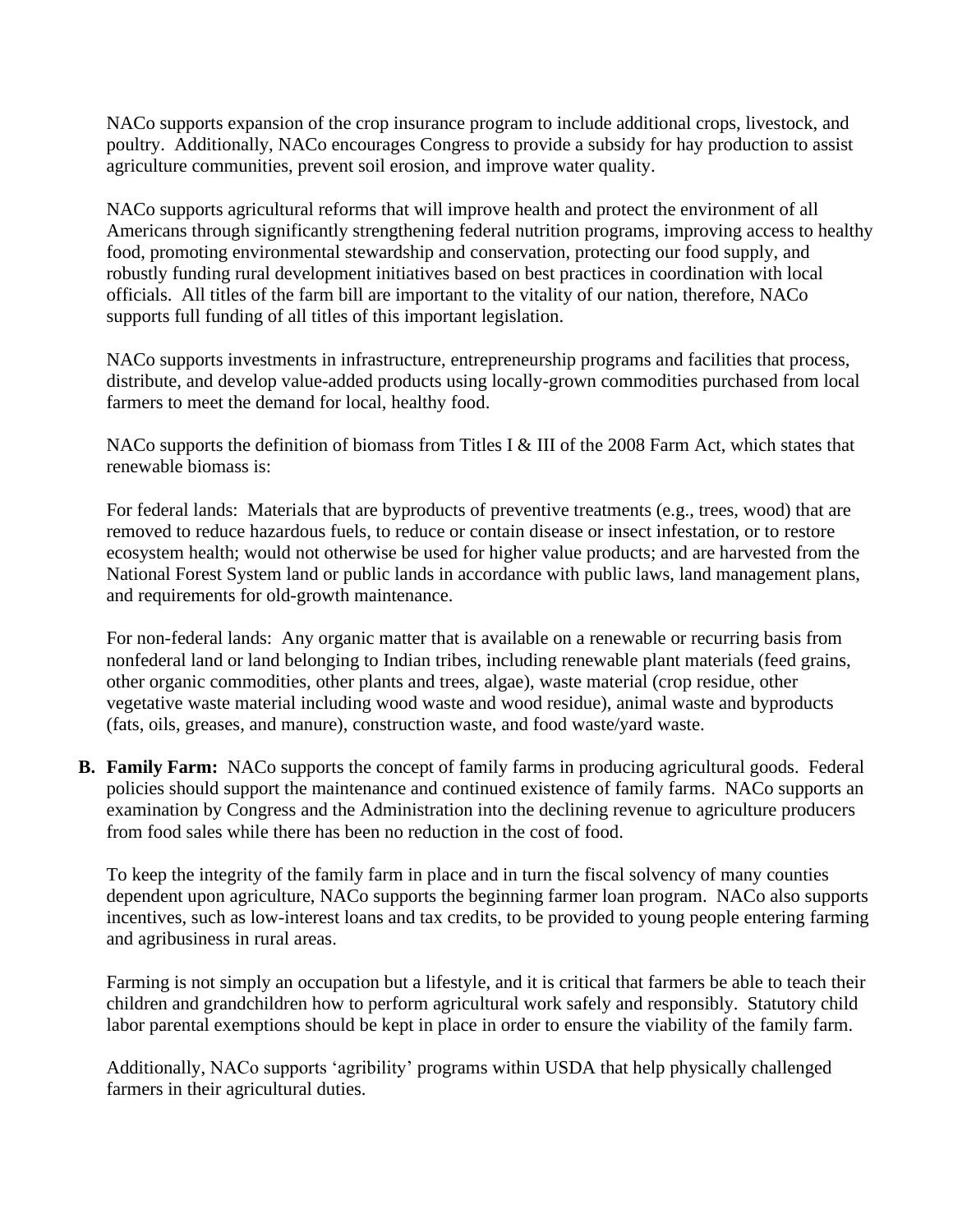NACo supports expansion of the crop insurance program to include additional crops, livestock, and poultry. Additionally, NACo encourages Congress to provide a subsidy for hay production to assist agriculture communities, prevent soil erosion, and improve water quality.

NACo supports agricultural reforms that will improve health and protect the environment of all Americans through significantly strengthening federal nutrition programs, improving access to healthy food, promoting environmental stewardship and conservation, protecting our food supply, and robustly funding rural development initiatives based on best practices in coordination with local officials. All titles of the farm bill are important to the vitality of our nation, therefore, NACo supports full funding of all titles of this important legislation.

NACo supports investments in infrastructure, entrepreneurship programs and facilities that process, distribute, and develop value-added products using locally-grown commodities purchased from local farmers to meet the demand for local, healthy food.

NACo supports the definition of biomass from Titles I & III of the 2008 Farm Act, which states that renewable biomass is:

For federal lands: Materials that are byproducts of preventive treatments (e.g., trees, wood) that are removed to reduce hazardous fuels, to reduce or contain disease or insect infestation, or to restore ecosystem health; would not otherwise be used for higher value products; and are harvested from the National Forest System land or public lands in accordance with public laws, land management plans, and requirements for old-growth maintenance.

For non-federal lands: Any organic matter that is available on a renewable or recurring basis from nonfederal land or land belonging to Indian tribes, including renewable plant materials (feed grains, other organic commodities, other plants and trees, algae), waste material (crop residue, other vegetative waste material including wood waste and wood residue), animal waste and byproducts (fats, oils, greases, and manure), construction waste, and food waste/yard waste.

**B. Family Farm:** NACo supports the concept of family farms in producing agricultural goods. Federal policies should support the maintenance and continued existence of family farms. NACo supports an examination by Congress and the Administration into the declining revenue to agriculture producers from food sales while there has been no reduction in the cost of food.

To keep the integrity of the family farm in place and in turn the fiscal solvency of many counties dependent upon agriculture, NACo supports the beginning farmer loan program. NACo also supports incentives, such as low-interest loans and tax credits, to be provided to young people entering farming and agribusiness in rural areas.

Farming is not simply an occupation but a lifestyle, and it is critical that farmers be able to teach their children and grandchildren how to perform agricultural work safely and responsibly. Statutory child labor parental exemptions should be kept in place in order to ensure the viability of the family farm.

Additionally, NACo supports 'agribility' programs within USDA that help physically challenged farmers in their agricultural duties.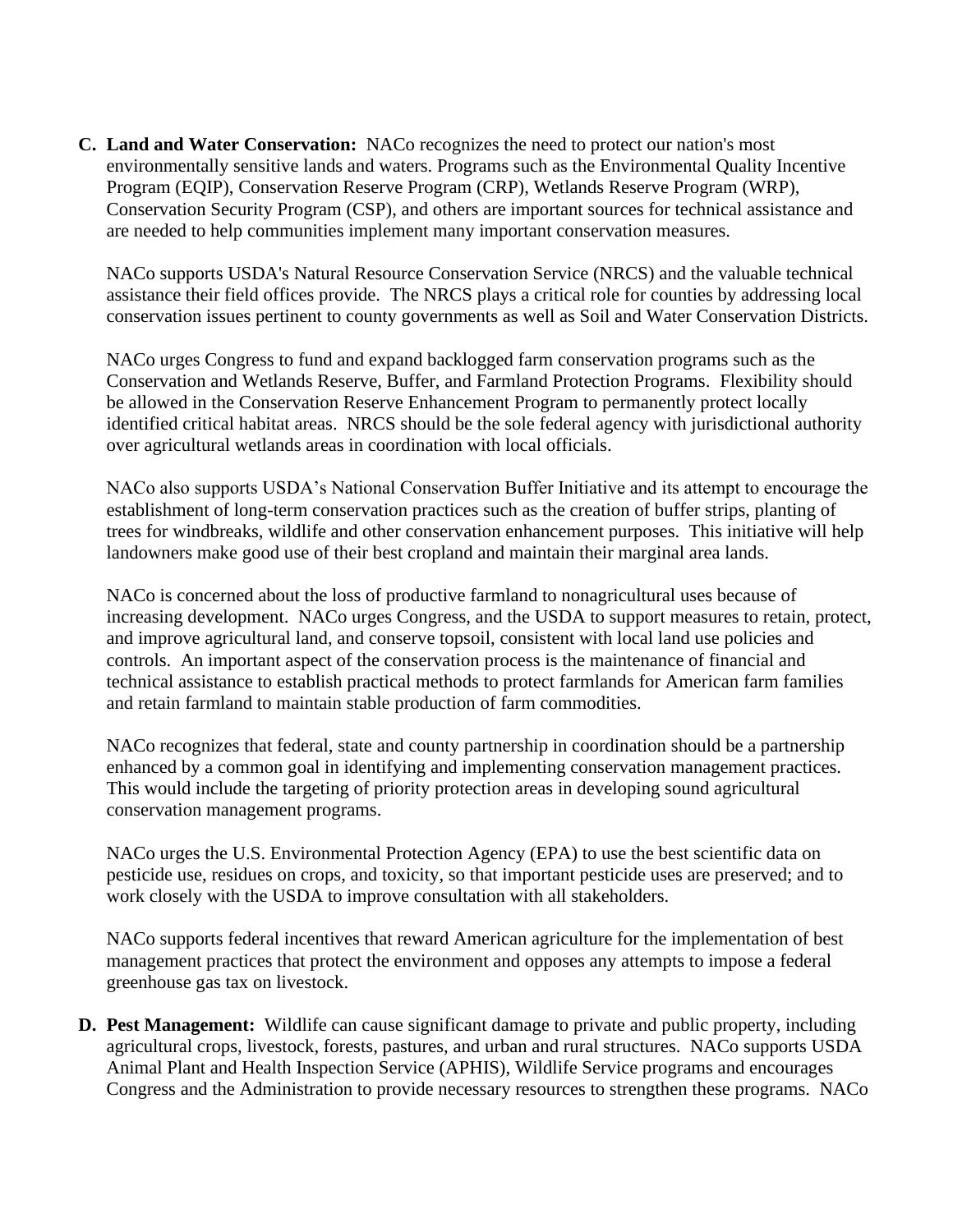**C. Land and Water Conservation:** NACo recognizes the need to protect our nation's most environmentally sensitive lands and waters. Programs such as the Environmental Quality Incentive Program (EQIP), Conservation Reserve Program (CRP), Wetlands Reserve Program (WRP), Conservation Security Program (CSP), and others are important sources for technical assistance and are needed to help communities implement many important conservation measures.

NACo supports USDA's Natural Resource Conservation Service (NRCS) and the valuable technical assistance their field offices provide. The NRCS plays a critical role for counties by addressing local conservation issues pertinent to county governments as well as Soil and Water Conservation Districts.

NACo urges Congress to fund and expand backlogged farm conservation programs such as the Conservation and Wetlands Reserve, Buffer, and Farmland Protection Programs. Flexibility should be allowed in the Conservation Reserve Enhancement Program to permanently protect locally identified critical habitat areas. NRCS should be the sole federal agency with jurisdictional authority over agricultural wetlands areas in coordination with local officials.

NACo also supports USDA's National Conservation Buffer Initiative and its attempt to encourage the establishment of long-term conservation practices such as the creation of buffer strips, planting of trees for windbreaks, wildlife and other conservation enhancement purposes. This initiative will help landowners make good use of their best cropland and maintain their marginal area lands.

NACo is concerned about the loss of productive farmland to nonagricultural uses because of increasing development. NACo urges Congress, and the USDA to support measures to retain, protect, and improve agricultural land, and conserve topsoil, consistent with local land use policies and controls. An important aspect of the conservation process is the maintenance of financial and technical assistance to establish practical methods to protect farmlands for American farm families and retain farmland to maintain stable production of farm commodities.

NACo recognizes that federal, state and county partnership in coordination should be a partnership enhanced by a common goal in identifying and implementing conservation management practices. This would include the targeting of priority protection areas in developing sound agricultural conservation management programs.

NACo urges the U.S. Environmental Protection Agency (EPA) to use the best scientific data on pesticide use, residues on crops, and toxicity, so that important pesticide uses are preserved; and to work closely with the USDA to improve consultation with all stakeholders.

NACo supports federal incentives that reward American agriculture for the implementation of best management practices that protect the environment and opposes any attempts to impose a federal greenhouse gas tax on livestock.

**D. Pest Management:** Wildlife can cause significant damage to private and public property, including agricultural crops, livestock, forests, pastures, and urban and rural structures. NACo supports USDA Animal Plant and Health Inspection Service (APHIS), Wildlife Service programs and encourages Congress and the Administration to provide necessary resources to strengthen these programs. NACo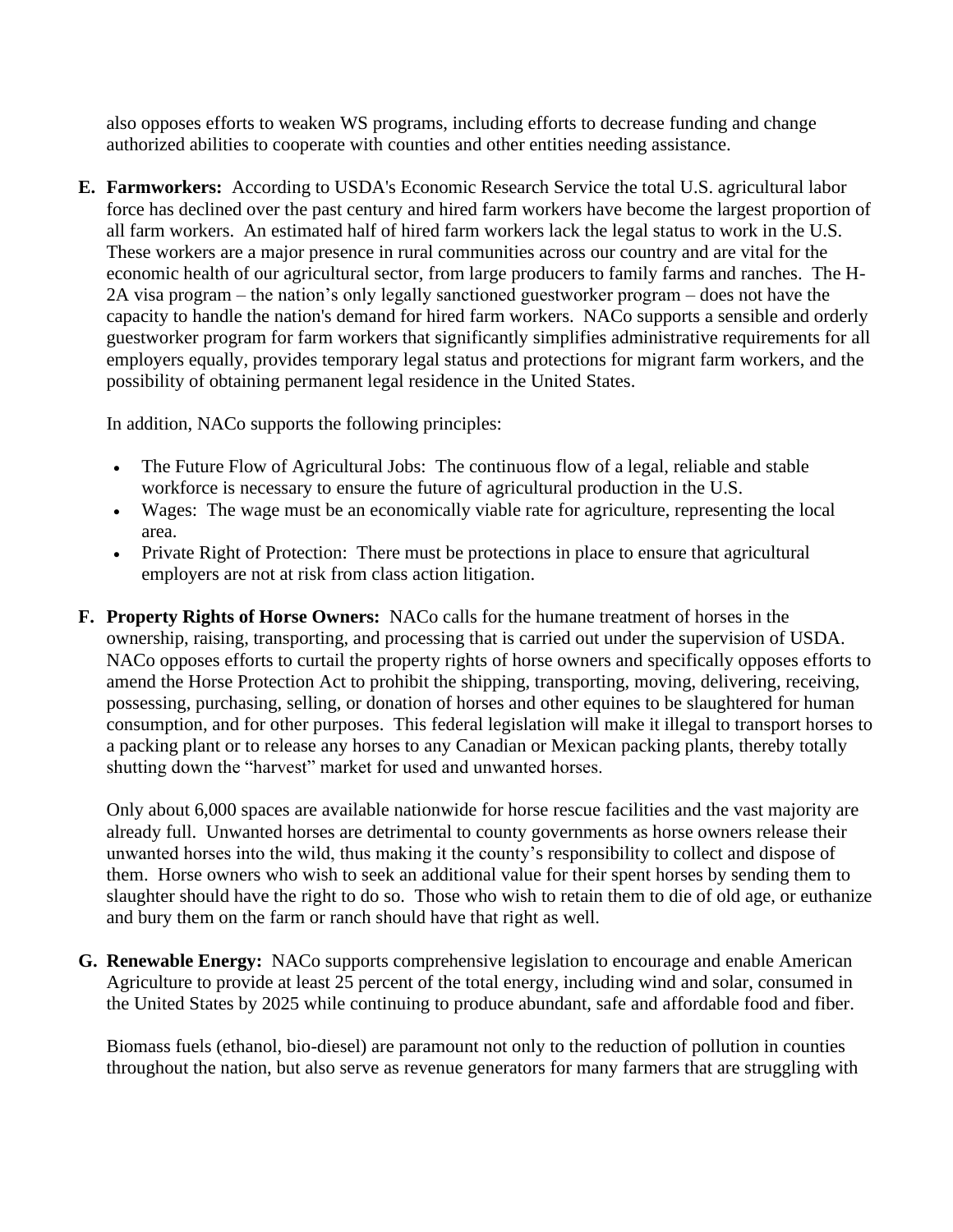also opposes efforts to weaken WS programs, including efforts to decrease funding and change authorized abilities to cooperate with counties and other entities needing assistance.

**E. Farmworkers:** According to USDA's Economic Research Service the total U.S. agricultural labor force has declined over the past century and hired farm workers have become the largest proportion of all farm workers. An estimated half of hired farm workers lack the legal status to work in the U.S. These workers are a major presence in rural communities across our country and are vital for the economic health of our agricultural sector, from large producers to family farms and ranches. The H-2A visa program – the nation's only legally sanctioned guestworker program – does not have the capacity to handle the nation's demand for hired farm workers. NACo supports a sensible and orderly guestworker program for farm workers that significantly simplifies administrative requirements for all employers equally, provides temporary legal status and protections for migrant farm workers, and the possibility of obtaining permanent legal residence in the United States.

In addition, NACo supports the following principles:

- The Future Flow of Agricultural Jobs: The continuous flow of a legal, reliable and stable workforce is necessary to ensure the future of agricultural production in the U.S.
- Wages: The wage must be an economically viable rate for agriculture, representing the local area.
- Private Right of Protection: There must be protections in place to ensure that agricultural employers are not at risk from class action litigation.
- **F. Property Rights of Horse Owners:** NACo calls for the humane treatment of horses in the ownership, raising, transporting, and processing that is carried out under the supervision of USDA. NACo opposes efforts to curtail the property rights of horse owners and specifically opposes efforts to amend the Horse Protection Act to prohibit the shipping, transporting, moving, delivering, receiving, possessing, purchasing, selling, or donation of horses and other equines to be slaughtered for human consumption, and for other purposes. This federal legislation will make it illegal to transport horses to a packing plant or to release any horses to any Canadian or Mexican packing plants, thereby totally shutting down the "harvest" market for used and unwanted horses.

Only about 6,000 spaces are available nationwide for horse rescue facilities and the vast majority are already full. Unwanted horses are detrimental to county governments as horse owners release their unwanted horses into the wild, thus making it the county's responsibility to collect and dispose of them. Horse owners who wish to seek an additional value for their spent horses by sending them to slaughter should have the right to do so. Those who wish to retain them to die of old age, or euthanize and bury them on the farm or ranch should have that right as well.

**G. Renewable Energy:** NACo supports comprehensive legislation to encourage and enable American Agriculture to provide at least 25 percent of the total energy, including wind and solar, consumed in the United States by 2025 while continuing to produce abundant, safe and affordable food and fiber.

Biomass fuels (ethanol, bio-diesel) are paramount not only to the reduction of pollution in counties throughout the nation, but also serve as revenue generators for many farmers that are struggling with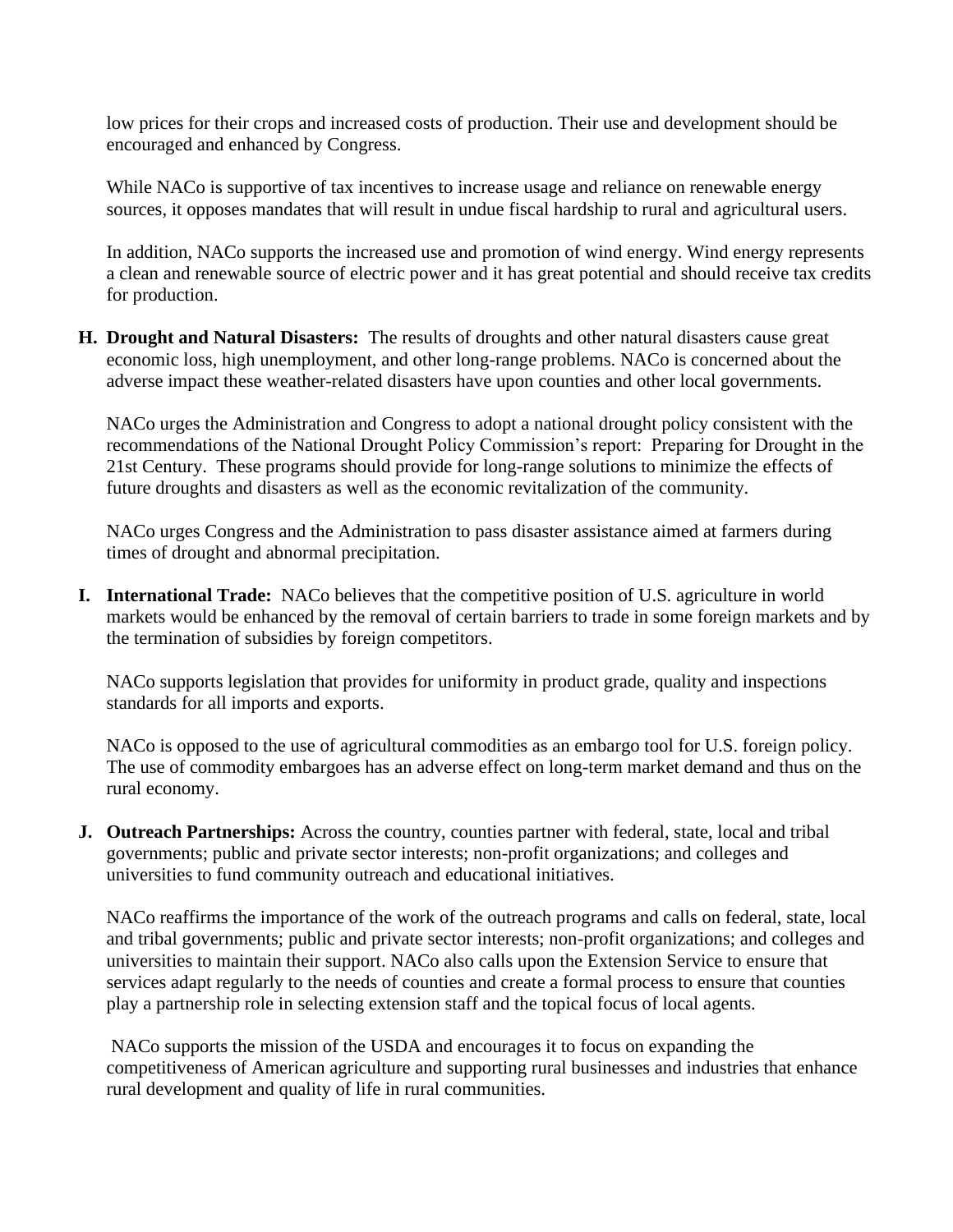low prices for their crops and increased costs of production. Their use and development should be encouraged and enhanced by Congress.

While NACo is supportive of tax incentives to increase usage and reliance on renewable energy sources, it opposes mandates that will result in undue fiscal hardship to rural and agricultural users.

In addition, NACo supports the increased use and promotion of wind energy. Wind energy represents a clean and renewable source of electric power and it has great potential and should receive tax credits for production.

**H. Drought and Natural Disasters:** The results of droughts and other natural disasters cause great economic loss, high unemployment, and other long-range problems. NACo is concerned about the adverse impact these weather-related disasters have upon counties and other local governments.

NACo urges the Administration and Congress to adopt a national drought policy consistent with the recommendations of the National Drought Policy Commission's report: Preparing for Drought in the 21st Century. These programs should provide for long-range solutions to minimize the effects of future droughts and disasters as well as the economic revitalization of the community.

NACo urges Congress and the Administration to pass disaster assistance aimed at farmers during times of drought and abnormal precipitation.

**I. International Trade:** NACo believes that the competitive position of U.S. agriculture in world markets would be enhanced by the removal of certain barriers to trade in some foreign markets and by the termination of subsidies by foreign competitors.

NACo supports legislation that provides for uniformity in product grade, quality and inspections standards for all imports and exports.

NACo is opposed to the use of agricultural commodities as an embargo tool for U.S. foreign policy. The use of commodity embargoes has an adverse effect on long-term market demand and thus on the rural economy.

**J. Outreach Partnerships:** Across the country, counties partner with federal, state, local and tribal governments; public and private sector interests; non-profit organizations; and colleges and universities to fund community outreach and educational initiatives.

 NACo reaffirms the importance of the work of the outreach programs and calls on federal, state, local and tribal governments; public and private sector interests; non-profit organizations; and colleges and universities to maintain their support. NACo also calls upon the Extension Service to ensure that services adapt regularly to the needs of counties and create a formal process to ensure that counties play a partnership role in selecting extension staff and the topical focus of local agents.

 NACo supports the mission of the USDA and encourages it to focus on expanding the competitiveness of American agriculture and supporting rural businesses and industries that enhance rural development and quality of life in rural communities.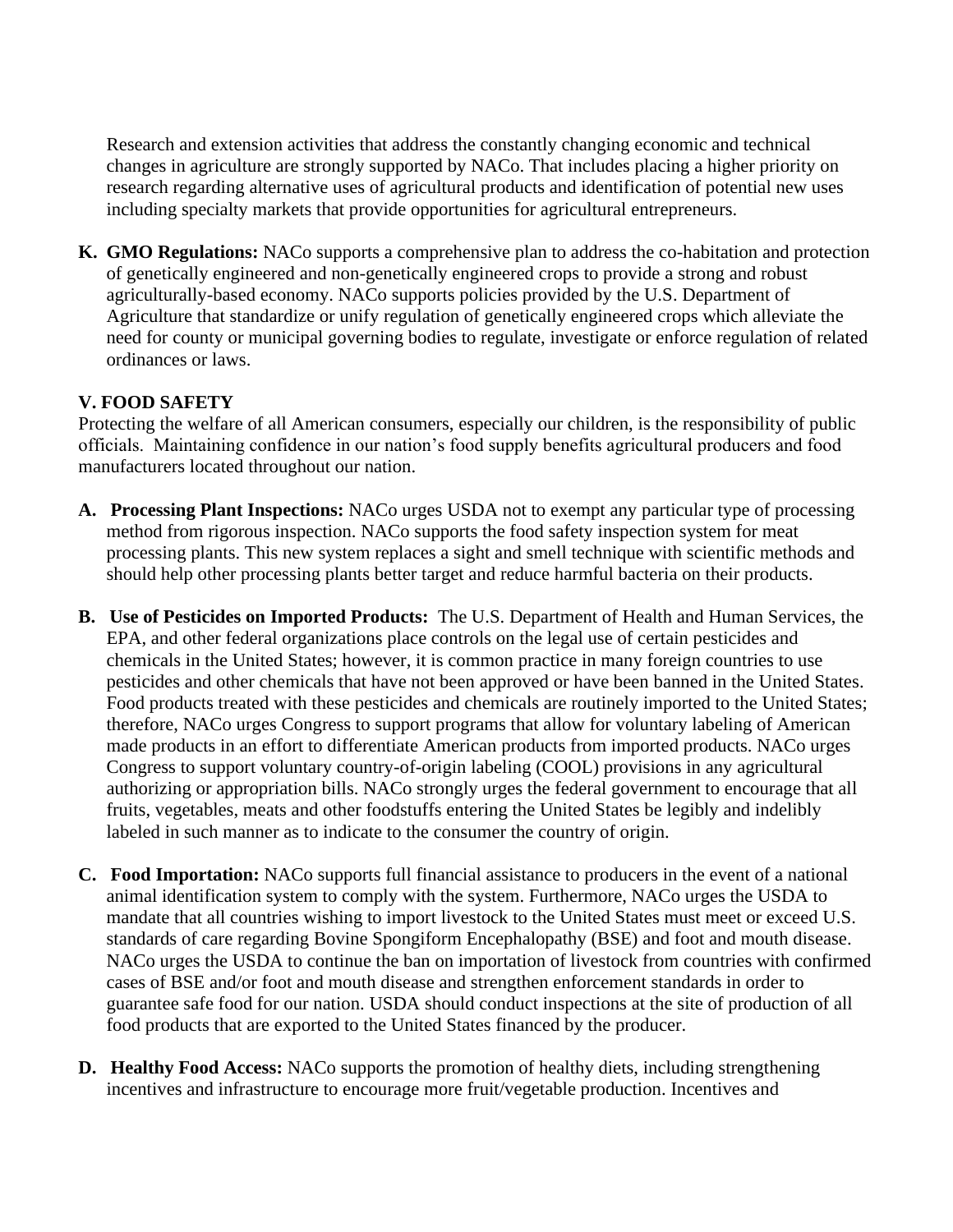Research and extension activities that address the constantly changing economic and technical changes in agriculture are strongly supported by NACo. That includes placing a higher priority on research regarding alternative uses of agricultural products and identification of potential new uses including specialty markets that provide opportunities for agricultural entrepreneurs.

**K. GMO Regulations:** NACo supports a comprehensive plan to address the co-habitation and protection of genetically engineered and non-genetically engineered crops to provide a strong and robust agriculturally-based economy. NACo supports policies provided by the U.S. Department of Agriculture that standardize or unify regulation of genetically engineered crops which alleviate the need for county or municipal governing bodies to regulate, investigate or enforce regulation of related ordinances or laws.

# **V. FOOD SAFETY**

Protecting the welfare of all American consumers, especially our children, is the responsibility of public officials. Maintaining confidence in our nation's food supply benefits agricultural producers and food manufacturers located throughout our nation.

- **A. Processing Plant Inspections:** NACo urges USDA not to exempt any particular type of processing method from rigorous inspection. NACo supports the food safety inspection system for meat processing plants. This new system replaces a sight and smell technique with scientific methods and should help other processing plants better target and reduce harmful bacteria on their products.
- **B. Use of Pesticides on Imported Products:** The U.S. Department of Health and Human Services, the EPA, and other federal organizations place controls on the legal use of certain pesticides and chemicals in the United States; however, it is common practice in many foreign countries to use pesticides and other chemicals that have not been approved or have been banned in the United States. Food products treated with these pesticides and chemicals are routinely imported to the United States; therefore, NACo urges Congress to support programs that allow for voluntary labeling of American made products in an effort to differentiate American products from imported products. NACo urges Congress to support voluntary country-of-origin labeling (COOL) provisions in any agricultural authorizing or appropriation bills. NACo strongly urges the federal government to encourage that all fruits, vegetables, meats and other foodstuffs entering the United States be legibly and indelibly labeled in such manner as to indicate to the consumer the country of origin.
- **C. Food Importation:** NACo supports full financial assistance to producers in the event of a national animal identification system to comply with the system. Furthermore, NACo urges the USDA to mandate that all countries wishing to import livestock to the United States must meet or exceed U.S. standards of care regarding Bovine Spongiform Encephalopathy (BSE) and foot and mouth disease. NACo urges the USDA to continue the ban on importation of livestock from countries with confirmed cases of BSE and/or foot and mouth disease and strengthen enforcement standards in order to guarantee safe food for our nation. USDA should conduct inspections at the site of production of all food products that are exported to the United States financed by the producer.
- **D. Healthy Food Access:** NACo supports the promotion of healthy diets, including strengthening incentives and infrastructure to encourage more fruit/vegetable production. Incentives and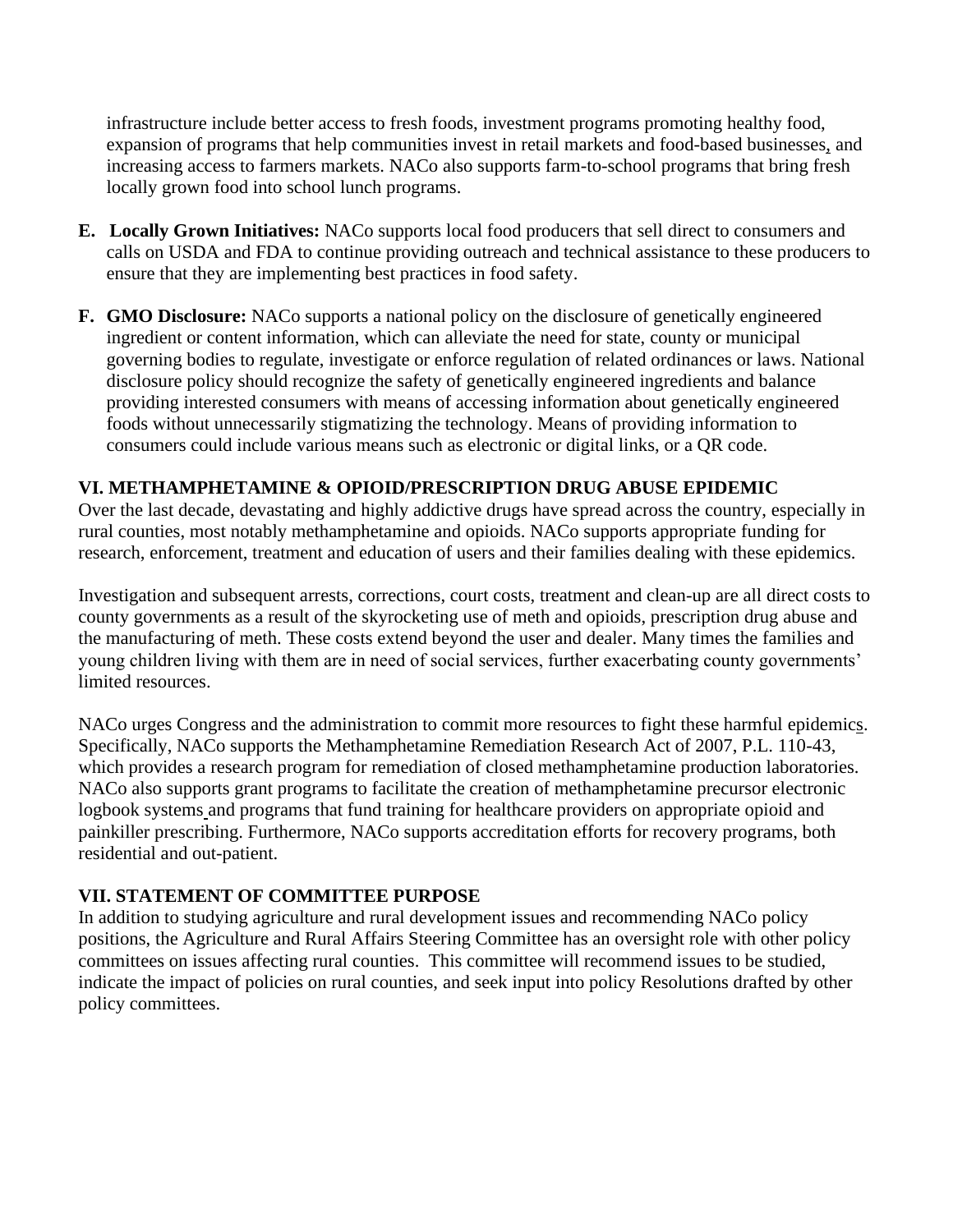infrastructure include better access to fresh foods, investment programs promoting healthy food, expansion of programs that help communities invest in retail markets and food-based businesses, and increasing access to farmers markets. NACo also supports farm-to-school programs that bring fresh locally grown food into school lunch programs.

- **E. Locally Grown Initiatives:** NACo supports local food producers that sell direct to consumers and calls on USDA and FDA to continue providing outreach and technical assistance to these producers to ensure that they are implementing best practices in food safety.
- **F. GMO Disclosure:** NACo supports a national policy on the disclosure of genetically engineered ingredient or content information, which can alleviate the need for state, county or municipal governing bodies to regulate, investigate or enforce regulation of related ordinances or laws. National disclosure policy should recognize the safety of genetically engineered ingredients and balance providing interested consumers with means of accessing information about genetically engineered foods without unnecessarily stigmatizing the technology. Means of providing information to consumers could include various means such as electronic or digital links, or a QR code.

#### **VI. METHAMPHETAMINE & OPIOID/PRESCRIPTION DRUG ABUSE EPIDEMIC**

Over the last decade, devastating and highly addictive drugs have spread across the country, especially in rural counties, most notably methamphetamine and opioids. NACo supports appropriate funding for research, enforcement, treatment and education of users and their families dealing with these epidemics.

Investigation and subsequent arrests, corrections, court costs, treatment and clean-up are all direct costs to county governments as a result of the skyrocketing use of meth and opioids, prescription drug abuse and the manufacturing of meth. These costs extend beyond the user and dealer. Many times the families and young children living with them are in need of social services, further exacerbating county governments' limited resources.

NACo urges Congress and the administration to commit more resources to fight these harmful epidemics. Specifically, NACo supports the Methamphetamine Remediation Research Act of 2007, P.L. 110-43, which provides a research program for remediation of closed methamphetamine production laboratories. NACo also supports grant programs to facilitate the creation of methamphetamine precursor electronic logbook systems and programs that fund training for healthcare providers on appropriate opioid and painkiller prescribing. Furthermore, NACo supports accreditation efforts for recovery programs, both residential and out-patient.

#### **VII. STATEMENT OF COMMITTEE PURPOSE**

In addition to studying agriculture and rural development issues and recommending NACo policy positions, the Agriculture and Rural Affairs Steering Committee has an oversight role with other policy committees on issues affecting rural counties. This committee will recommend issues to be studied, indicate the impact of policies on rural counties, and seek input into policy Resolutions drafted by other policy committees.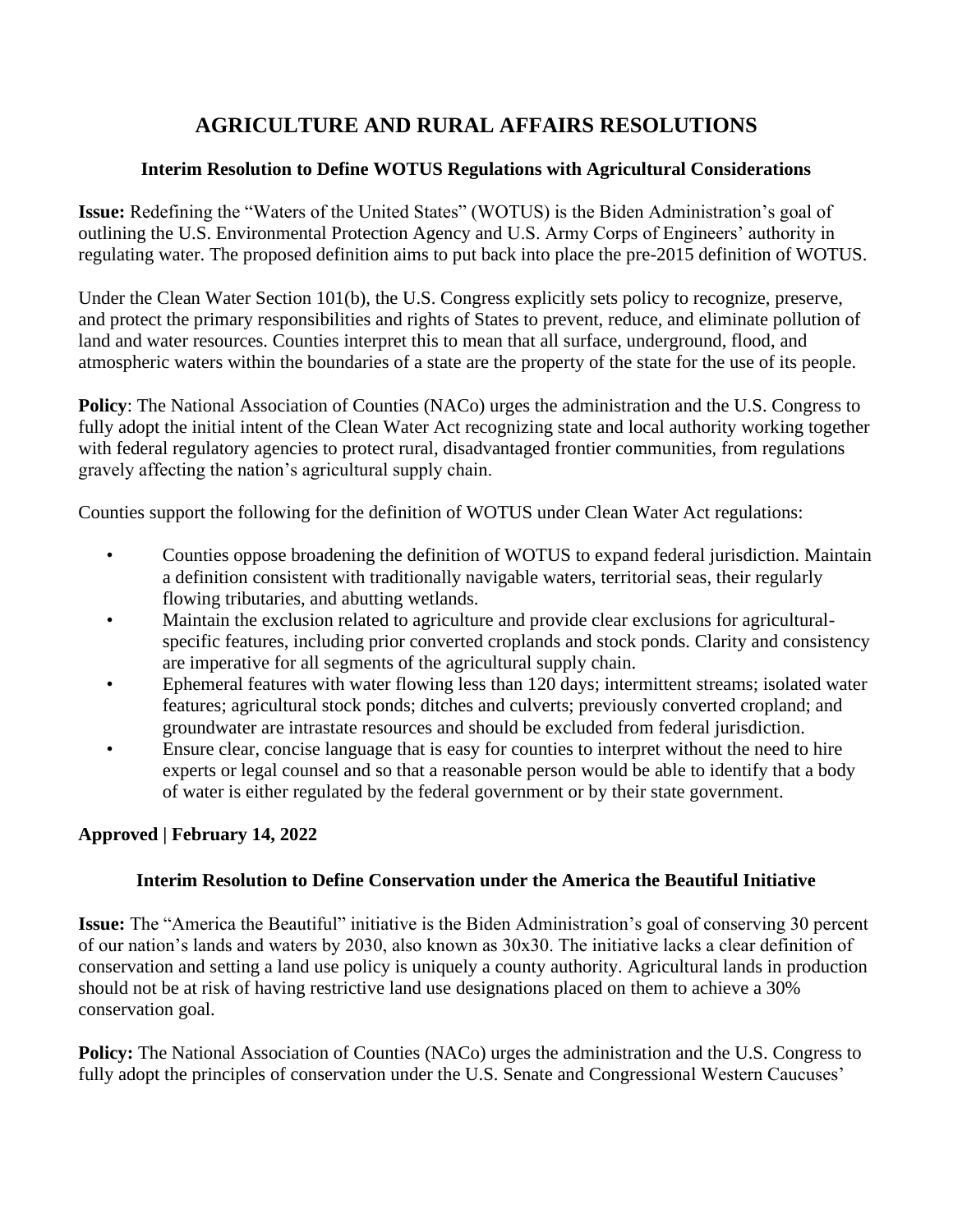# **AGRICULTURE AND RURAL AFFAIRS RESOLUTIONS**

#### **Interim Resolution to Define WOTUS Regulations with Agricultural Considerations**

**Issue:** Redefining the "Waters of the United States" (WOTUS) is the Biden Administration's goal of outlining the U.S. Environmental Protection Agency and U.S. Army Corps of Engineers' authority in regulating water. The proposed definition aims to put back into place the pre-2015 definition of WOTUS.

Under the Clean Water Section 101(b), the U.S. Congress explicitly sets policy to recognize, preserve, and protect the primary responsibilities and rights of States to prevent, reduce, and eliminate pollution of land and water resources. Counties interpret this to mean that all surface, underground, flood, and atmospheric waters within the boundaries of a state are the property of the state for the use of its people.

**Policy:** The National Association of Counties (NACo) urges the administration and the U.S. Congress to fully adopt the initial intent of the Clean Water Act recognizing state and local authority working together with federal regulatory agencies to protect rural, disadvantaged frontier communities, from regulations gravely affecting the nation's agricultural supply chain.

Counties support the following for the definition of WOTUS under Clean Water Act regulations:

- Counties oppose broadening the definition of WOTUS to expand federal jurisdiction. Maintain a definition consistent with traditionally navigable waters, territorial seas, their regularly flowing tributaries, and abutting wetlands.
- Maintain the exclusion related to agriculture and provide clear exclusions for agriculturalspecific features, including prior converted croplands and stock ponds. Clarity and consistency are imperative for all segments of the agricultural supply chain.
- Ephemeral features with water flowing less than 120 days; intermittent streams; isolated water features; agricultural stock ponds; ditches and culverts; previously converted cropland; and groundwater are intrastate resources and should be excluded from federal jurisdiction.
- Ensure clear, concise language that is easy for counties to interpret without the need to hire experts or legal counsel and so that a reasonable person would be able to identify that a body of water is either regulated by the federal government or by their state government.

# **Approved | February 14, 2022**

# **Interim Resolution to Define Conservation under the America the Beautiful Initiative**

**Issue:** The "America the Beautiful" initiative is the Biden Administration's goal of conserving 30 percent of our nation's lands and waters by 2030, also known as 30x30. The initiative lacks a clear definition of conservation and setting a land use policy is uniquely a county authority. Agricultural lands in production should not be at risk of having restrictive land use designations placed on them to achieve a 30% conservation goal.

**Policy:** The National Association of Counties (NACo) urges the administration and the U.S. Congress to fully adopt the principles of conservation under the U.S. Senate and Congressional Western Caucuses'